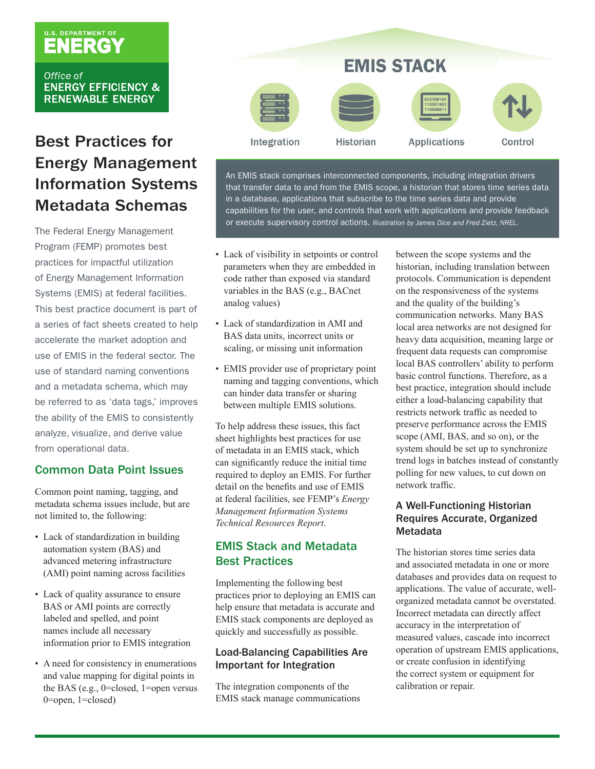# U.S. DEPARTMENT OF

Office of **ENERGY EFFICIENCY & RENEWABLE ENERGY** 

### Best Practices for Energy Management Information Systems Metadata Schemas

The Federal Energy Management Program (FEMP) promotes best practices for impactful utilization of Energy Management Information Systems (EMIS) at federal facilities. This best practice document is part of a series of fact sheets created to help accelerate the market adoption and use of EMIS in the federal sector. The use of standard naming conventions and a metadata schema, which may be referred to as 'data tags,' improves the ability of the EMIS to consistently analyze, visualize, and derive value from operational data.

#### Common Data Point Issues

Common point naming, tagging, and metadata schema issues include, but are not limited to, the following:

- Lack of standardization in building automation system (BAS) and advanced metering infrastructure (AMI) point naming across facilities
- Lack of quality assurance to ensure BAS or AMI points are correctly labeled and spelled, and point names include all necessary information prior to EMIS integration
- A need for consistency in enumerations and value mapping for digital points in the BAS (e.g., 0=closed, 1=open versus 0=open, 1=closed)



An EMIS stack comprises interconnected components, including integration drivers that transfer data to and from the EMIS scope, a historian that stores time series data in a database, applications that subscribe to the time series data and provide capabilities for the user, and controls that work with applications and provide feedback or execute supervisory control actions. *Illustration by James Dice and Fred Zietz, NREL.*

- Lack of visibility in setpoints or control parameters when they are embedded in code rather than exposed via standard variables in the BAS (e.g., BACnet analog values)
- Lack of standardization in AMI and BAS data units, incorrect units or scaling, or missing unit information
- EMIS provider use of proprietary point naming and tagging conventions, which can hinder data transfer or sharing between multiple EMIS solutions.

To help address these issues, this fact sheet highlights best practices for use of metadata in an EMIS stack, which can significantly reduce the initial time required to deploy an EMIS. For further detail on the benefits and use of EMIS at federal facilities, see FEMP's *Energy Management Information Systems Technical Resources Report*.

#### EMIS Stack and Metadata Best Practices

Implementing the following best practices prior to deploying an EMIS can help ensure that metadata is accurate and EMIS stack components are deployed as quickly and successfully as possible.

#### Load-Balancing Capabilities Are Important for Integration

The integration components of the EMIS stack manage communications between the scope systems and the historian, including translation between protocols. Communication is dependent on the responsiveness of the systems and the quality of the building's communication networks. Many BAS local area networks are not designed for heavy data acquisition, meaning large or frequent data requests can compromise local BAS controllers' ability to perform basic control functions. Therefore, as a best practice, integration should include either a load-balancing capability that restricts network traffic as needed to preserve performance across the EMIS scope (AMI, BAS, and so on), or the system should be set up to synchronize trend logs in batches instead of constantly polling for new values, to cut down on network traffic.

#### A Well-Functioning Historian Requires Accurate, Organized **Metadata**

The historian stores time series data and associated metadata in one or more databases and provides data on request to applications. The value of accurate, wellorganized metadata cannot be overstated. Incorrect metadata can directly affect accuracy in the interpretation of measured values, cascade into incorrect operation of upstream EMIS applications, or create confusion in identifying the correct system or equipment for calibration or repair.